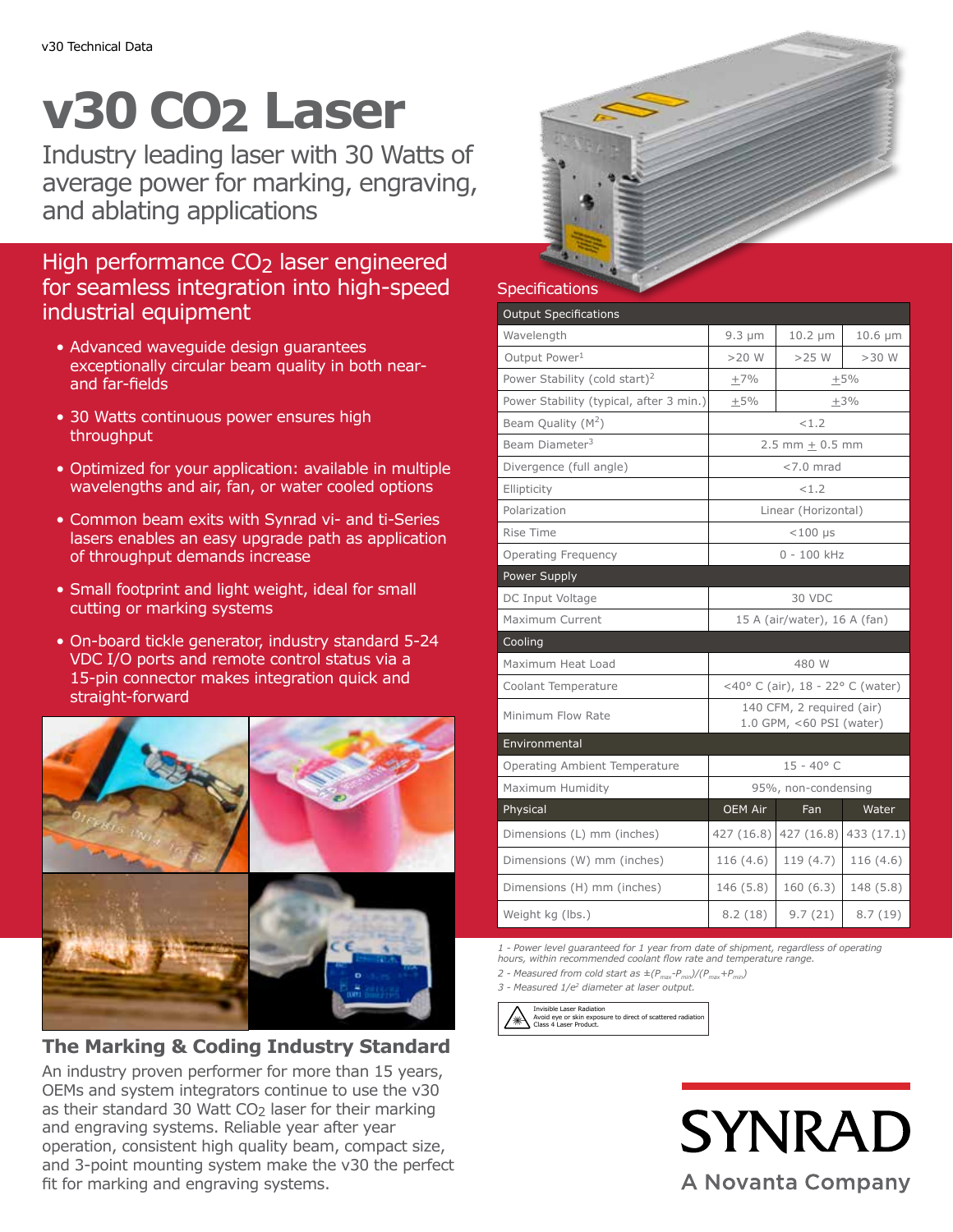# **v30 CO2 Laser**

Industry leading laser with 30 Watts of average power for marking, engraving, and ablating applications

# High performance CO<sub>2</sub> laser engineered for seamless integration into high-speed industrial equipment

- Advanced waveguide design guarantees exceptionally circular beam quality in both nearand far-fields
- 30 Watts continuous power ensures high throughput
- Optimized for your application: available in multiple wavelengths and air, fan, or water cooled options
- Common beam exits with Synrad vi- and ti-Series lasers enables an easy upgrade path as application of throughput demands increase
- Small footprint and light weight, ideal for small cutting or marking systems
- On-board tickle generator, industry standard 5-24 VDC I/O ports and remote control status via a 15-pin connector makes integration quick and straight-forward



**The Marking & Coding Industry Standard**

An industry proven performer for more than 15 years, OEMs and system integrators continue to use the v30 as their standard 30 Watt  $CO<sub>2</sub>$  laser for their marking and engraving systems. Reliable year after year operation, consistent high quality beam, compact size, and 3-point mounting system make the v30 the perfect fit for marking and engraving systems.



### **Specifications**

| <b>Output Specifications</b>              |                                                       |              |              |  |
|-------------------------------------------|-------------------------------------------------------|--------------|--------------|--|
| Wavelength                                | $9.3 \mu m$                                           | $10.2 \mu m$ | $10.6 \mu m$ |  |
| Output Power <sup>1</sup>                 | $>20$ W                                               | $>25$ W      | $>30$ W      |  |
| Power Stability (cold start) <sup>2</sup> | $+7%$                                                 | $+5%$        |              |  |
| Power Stability (typical, after 3 min.)   | $+5%$                                                 | $+3%$        |              |  |
| Beam Quality $(M^2)$                      | < 1.2                                                 |              |              |  |
| Beam Diameter <sup>3</sup>                | $2.5$ mm + 0.5 mm                                     |              |              |  |
| Divergence (full angle)                   | $<$ 7.0 mrad                                          |              |              |  |
| Ellipticity                               | < 1.2                                                 |              |              |  |
| Polarization                              | Linear (Horizontal)                                   |              |              |  |
| Rise Time                                 | $<$ 100 µs                                            |              |              |  |
| <b>Operating Frequency</b>                | $0 - 100$ kHz                                         |              |              |  |
| Power Supply                              |                                                       |              |              |  |
| DC Input Voltage                          | 30 VDC                                                |              |              |  |
| Maximum Current                           | 15 A (air/water), 16 A (fan)                          |              |              |  |
| Cooling                                   |                                                       |              |              |  |
| Maximum Heat Load                         | 480 W                                                 |              |              |  |
| Coolant Temperature                       | <40° C (air), 18 - 22° C (water)                      |              |              |  |
| Minimum Flow Rate                         | 140 CFM, 2 required (air)<br>1.0 GPM, <60 PSI (water) |              |              |  |
| Environmental                             |                                                       |              |              |  |
| Operating Ambient Temperature             | $15 - 40^{\circ}$ C                                   |              |              |  |
| Maximum Humidity                          | 95%, non-condensing                                   |              |              |  |
| Physical                                  | <b>OEM Air</b>                                        | Fan          | Water        |  |
| Dimensions (L) mm (inches)                | 427 (16.8)                                            | 427(16.8)    | 433 (17.1)   |  |
| Dimensions (W) mm (inches)                | 116(4.6)                                              | 119(4.7)     | 116(4.6)     |  |
| Dimensions (H) mm (inches)                | 146 (5.8)                                             | 160(6.3)     | 148 (5.8)    |  |
| Weight kg (lbs.)                          | 8.2(18)                                               | 9.7(21)      | 8.7(19)      |  |

*1 - Power level guaranteed for 1 year from date of shipment, regardless of operating hours, within recommended coolant flow rate and temperature range.*

2 - Measured from cold start as  $\pm (P_{\text{max}}-P_{\text{min}})/(P_{\text{max}}+P_{\text{min}})$ 

*3 - Measured 1/e2 diameter at laser output.*